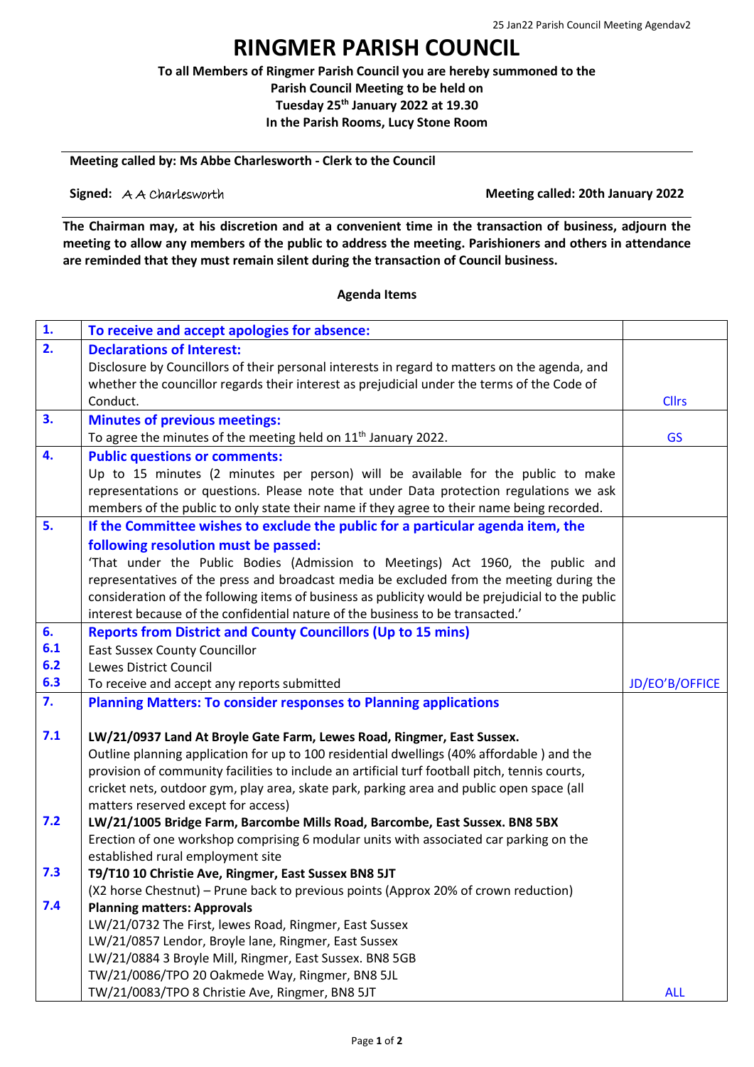# **RINGMER PARISH COUNCIL**

**To all Members of Ringmer Parish Council you are hereby summoned to the Parish Council Meeting to be held on Tuesday 25th January 2022 at 19.30 In the Parish Rooms, Lucy Stone Room**

### **Meeting called by: Ms Abbe Charlesworth - Clerk to the Council**

**Signed:** A A Charlesworth **Meeting called:** 20th January 2022

**The Chairman may, at his discretion and at a convenient time in the transaction of business, adjourn the meeting to allow any members of the public to address the meeting. Parishioners and others in attendance are reminded that they must remain silent during the transaction of Council business.**

### **Agenda Items**

| $\mathbf{1}$ . | To receive and accept apologies for absence:                                                       |                |
|----------------|----------------------------------------------------------------------------------------------------|----------------|
| 2.             | <b>Declarations of Interest:</b>                                                                   |                |
|                | Disclosure by Councillors of their personal interests in regard to matters on the agenda, and      |                |
|                | whether the councillor regards their interest as prejudicial under the terms of the Code of        |                |
|                | Conduct.                                                                                           | <b>Cllrs</b>   |
| 3.             | <b>Minutes of previous meetings:</b>                                                               |                |
|                | To agree the minutes of the meeting held on $11th$ January 2022.                                   | <b>GS</b>      |
| 4.             | <b>Public questions or comments:</b>                                                               |                |
|                | Up to 15 minutes (2 minutes per person) will be available for the public to make                   |                |
|                | representations or questions. Please note that under Data protection regulations we ask            |                |
|                | members of the public to only state their name if they agree to their name being recorded.         |                |
| 5.             | If the Committee wishes to exclude the public for a particular agenda item, the                    |                |
|                | following resolution must be passed:                                                               |                |
|                | 'That under the Public Bodies (Admission to Meetings) Act 1960, the public and                     |                |
|                | representatives of the press and broadcast media be excluded from the meeting during the           |                |
|                | consideration of the following items of business as publicity would be prejudicial to the public   |                |
|                | interest because of the confidential nature of the business to be transacted.'                     |                |
| 6.             | <b>Reports from District and County Councillors (Up to 15 mins)</b>                                |                |
| 6.1            | <b>East Sussex County Councillor</b>                                                               |                |
| 6.2            | <b>Lewes District Council</b>                                                                      |                |
|                |                                                                                                    |                |
| 6.3            | To receive and accept any reports submitted                                                        | JD/EO'B/OFFICE |
| 7.             | <b>Planning Matters: To consider responses to Planning applications</b>                            |                |
|                |                                                                                                    |                |
| 7.1            | LW/21/0937 Land At Broyle Gate Farm, Lewes Road, Ringmer, East Sussex.                             |                |
|                | Outline planning application for up to 100 residential dwellings (40% affordable) and the          |                |
|                | provision of community facilities to include an artificial turf football pitch, tennis courts,     |                |
|                | cricket nets, outdoor gym, play area, skate park, parking area and public open space (all          |                |
|                | matters reserved except for access)                                                                |                |
| 7.2            | LW/21/1005 Bridge Farm, Barcombe Mills Road, Barcombe, East Sussex. BN8 5BX                        |                |
|                | Erection of one workshop comprising 6 modular units with associated car parking on the             |                |
|                | established rural employment site                                                                  |                |
| 7.3            | T9/T10 10 Christie Ave, Ringmer, East Sussex BN8 5JT                                               |                |
|                | (X2 horse Chestnut) - Prune back to previous points (Approx 20% of crown reduction)                |                |
| 7.4            | <b>Planning matters: Approvals</b>                                                                 |                |
|                | LW/21/0732 The First, lewes Road, Ringmer, East Sussex                                             |                |
|                | LW/21/0857 Lendor, Broyle lane, Ringmer, East Sussex                                               |                |
|                | LW/21/0884 3 Broyle Mill, Ringmer, East Sussex. BN8 5GB                                            |                |
|                | TW/21/0086/TPO 20 Oakmede Way, Ringmer, BN8 5JL<br>TW/21/0083/TPO 8 Christie Ave, Ringmer, BN8 5JT | <b>ALL</b>     |